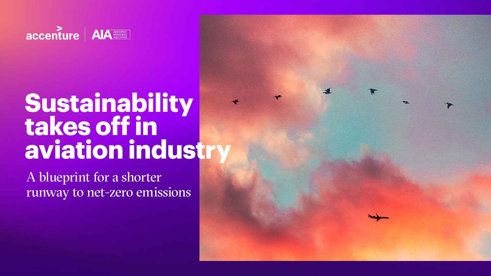

# **Sustainability takes off in aviation industry**

A blueprint for a shorter runway to net-zero emissions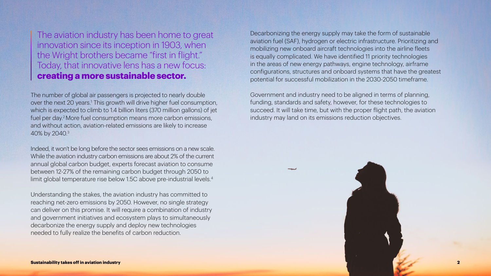

The number of global air passengers is projected to nearly double over the next 20 years.<sup>1</sup> This growth will drive higher fuel consumption, which is expected to climb to 1.4 billion liters (370 million gallons) of jet fuel per day.2 More fuel consumption means more carbon emissions, and without action, aviation-related emissions are likely to increase 40% by 2040.3

Indeed, it won't be long before the sector sees emissions on a new scale. While the aviation industry carbon emissions are about 2% of the current annual global carbon budget, experts forecast aviation to consume between 12-27% of the remaining carbon budget through 2050 to limit global temperature rise below 1.5C above pre-industrial levels.4

Understanding the stakes, the aviation industry has committed to reaching net-zero emissions by 2050. However, no single strategy can deliver on this promise. It will require a combination of industry and government initiatives and ecosystem plays to simultaneously decarbonize the energy supply and deploy new technologies needed to fully realize the benefits of carbon reduction.

Decarbonizing the energy supply may take the form of sustainable aviation fuel (SAF), hydrogen or electric infrastructure. Prioritizing and mobilizing new onboard aircraft technologies into the airline fleets is equally complicated. We have identified 11 priority technologies in the areas of new energy pathways, engine technology, airframe configurations, structures and onboard systems that have the greatest potential for successful mobilization in the 2030-2050 timeframe.

Government and industry need to be aligned in terms of planning, funding, standards and safety, however, for these technologies to succeed. It will take time, but with the proper flight path, the aviation industry may land on its emissions reduction objectives.

The aviation industry has been home to great innovation since its inception in 1903, when the Wright brothers became "first in flight." Today, that innovative lens has a new focus: **creating a more sustainable sector.**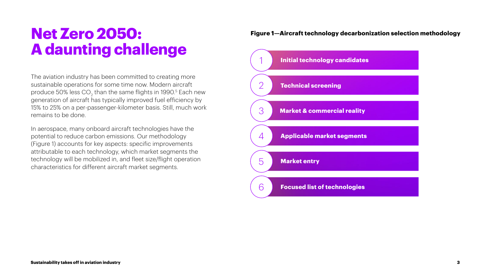## **Net Zero 2050: A daunting challenge**

The aviation industry has been committed to creating more sustainable operations for some time now. Modern aircraft produce 50% less CO $_{\rm 2}$  than the same flights in 1990. $^{\rm 5}$  Each new generation of aircraft has typically improved fuel efficiency by 15% to 25% on a per-passenger-kilometer basis. Still, much work remains to be done.

In aerospace, many onboard aircraft technologies have the potential to reduce carbon emissions. Our methodology (Figure 1) accounts for key aspects: specific improvements attributable to each technology, which market segments the technology will be mobilized in, and fleet size/flight operation characteristics for different aircraft market segments.

#### **Figure 1—Aircraft technology decarbonization selection methodology**

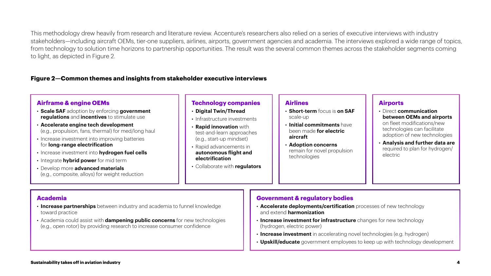This methodology drew heavily from research and literature review. Accenture's researchers also relied on a series of executive interviews with industry stakeholders—including aircraft OEMs, tier-one suppliers, airlines, airports, government agencies and academia. The interviews explored a wide range of topics, from technology to solution time horizons to partnership opportunities. The result was the several common themes across the stakeholder segments coming to light, as depicted in Figure 2.

• Academia could assist with **dampening public concerns** for new technologies (e.g., open rotor) by providing research to increase consumer confidence



- **Increase investment for infrastructure** changes for new technology (hydrogen, electric power)
- **Increase investment** in accelerating novel technologies (e.g. hydrogen)
- **Upskill/educate** government employees to keep up with technology development

#### **Airports**

• Direct **communication between OEMs and airports** on fleet modifications/new technologies can facilitate adoption of new technologies

• **Analysis and further data are**  required to plan for hydrogen/ electric

#### **Figure 2—Common themes and insights from stakeholder executive interviews**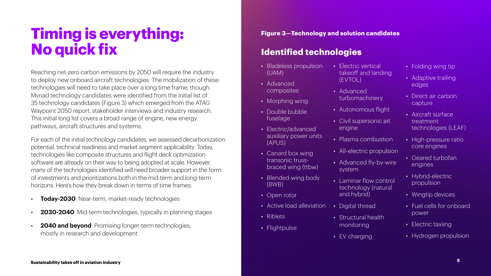## **Timing is everything: No quick fix**

Reaching net-zero carbon emissions by 2050 will require the industry to deploy new onboard aircraft technologies. The mobilization of these technologies will need to take place over a long time frame, though. Myriad technology candidates were identified from the initial list of 35 technology candidates (Figure 3) which emerged from the ATAG Waypoint 2050 report, stakeholder interviews and industry research. This initial long list covers a broad range of engine, new energy pathways, aircraft structures and systems.

- **Today-2030**: Near-term, market-ready technologies
- **2030-2040**: Mid-term technologies, typically in planning stages
- **2040 and beyond**: Promising longer-term technologies, mostly in research and development
- Electric vertical takeoff and land (EVTOL)
- Advanced turbomachinery
- Autonomous fli
- Civil supersonic engine
- Plasma combus
- All-electric prop
- Advanced fly-b system
- Laminar flow contain technology (nat and hybrid)
- Digital thread
- Structural healt monitoring
- EV charging

For each of the initial technology candidates, we assessed decarbonization potential, technical readiness and market segment applicability. Today, technologies like composite structures and flight deck optimization software are already on their way to being adopted at scale. However, many of the technologies identified will need broader support in the form of investments and prioritizations both in the mid-term and long-term horizons. Here's how they break down in terms of time frames:

- Bladeless propulsion (UAM)
- Advanced composites
- Morphing wing
- Double bubble fuselage
- Electric/advanced auxiliary power units (APUS)
- Canard box wing transonic trussbraced wing (ttbw)
- Blended-wing body (BWB)
- Open rotor
- Active load alleviation
- Riblets
- Flightpulse

| ding                       | • Folding wing tip                                     |  |
|----------------------------|--------------------------------------------------------|--|
|                            | Adaptive trailing<br>edges                             |  |
| ght<br>: jet               | • Direct air carbon<br>capture                         |  |
|                            | • Aircraft surface<br>treatment<br>technologies (LEAF) |  |
| stion<br>pulsion<br>y-wire | • High-pressure ratio<br>core engines                  |  |
|                            | Geared turbofan<br>$\bullet$<br>engines                |  |
| ontrol<br><u>tural</u>     | • Hybrid-electric<br>propulsion                        |  |
|                            | Wingtip devices<br>$\bullet$                           |  |
| h                          | Fuel cells for onboard<br>$\bullet$<br>power           |  |
|                            | Electric taxiing<br>$\bullet$                          |  |

• Hydrogen propulsion

#### **Figure 3—Technology and solution candidates**

### **Identified technologies**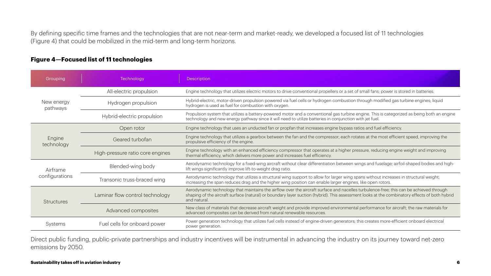categorized as being both an engine

ost efficient speed, improving the

lage; airfoil-shaped bodies and high-

ee; this can be achieved through combinatory effects of both hybrid

the for aircraft; the raw materials for

By defining specific time frames and the technologies that are not near-term and market-ready, we developed a focused list of 11 technologies (Figure 4) that could be mobilized in the mid-term and long-term horizons.

Direct public funding, public-private partnerships and industry incentives will be instrumental in advancing the industry on its journey toward net-zero emissions by 2050.

#### **Figure 4—Focused list of 11 technologies**

| Grouping                   | Technology                       | Description                                                                                                                                                                                                                                                                                       |
|----------------------------|----------------------------------|---------------------------------------------------------------------------------------------------------------------------------------------------------------------------------------------------------------------------------------------------------------------------------------------------|
|                            | All-electric propulsion          | Engine technology that utilizes electric motors to drive conventional propellers or a set of small fans; power is stored in batteries.                                                                                                                                                            |
| New energy<br>pathways     | Hydrogen propulsion              | Hybrid-electric, motor-driven propulsion powered via fuel cells or hydrogen combustion through modified gas turbine engines; liquid<br>hydrogen is used as fuel for combustion with oxygen.                                                                                                       |
|                            | Hybrid-electric propulsion       | Propulsion system that utilizes a battery-powered motor and a conventional gas turbine engine. This is categorized as being both an e<br>technology and new energy pathway since it will need to utilize batteries in conjunction with jet fuel.                                                  |
| Engine<br>technology       | Open rotor                       | Engine technology that uses an unducted fan or propfan that increases engine bypass ratios and fuel efficiency.                                                                                                                                                                                   |
|                            | Geared turbofan                  | Engine technology that utilizes a gearbox between the fan and the compressor; each rotates at the most efficient speed, improving th<br>propulsive efficiency of the engine.                                                                                                                      |
|                            | High-pressure ratio core engines | Engine technology with an enhanced efficiency compressor that operates at a higher pressure, reducing engine weight and improving<br>thermal efficiency, which delivers more power and increases fuel efficiency.                                                                                 |
| Airframe<br>configurations | Blended-wing body                | Aerodynamic technology for a fixed-wing aircraft without clear differentiation between wings and fuselage; airfoil-shaped bodies and l<br>lift wings significantly improve lift-to-weight drag ratio.                                                                                             |
|                            | Transonic truss-braced wing      | Aerodynamic technology that utilizes a structural wing support to allow for larger wing spans without increases in structural weight;<br>increasing the span reduces drag and the higher wing position can enable larger engines, like open rotors.                                               |
| <b>Structures</b>          | Laminar flow control technology  | Aerodynamic technology that maintains the airflow over the aircraft surface and nacelles turbulence-free; this can be achieved throug<br>shaping of the aircraft surface (natural) or boundary layer suction (hybrid). This assessment looks at the combinatory effects of both h<br>and natural. |
|                            | Advanced composites              | New class of materials that decrease aircraft weight and provide improved environmental performance for aircraft; the raw materials for<br>advanced composites can be derived from natural renewable resources.                                                                                   |
| Systems                    | Fuel cells for onboard power     | Power generation technology that utilizes fuel cells instead of engine-driven generators; this creates more-efficient onboard electrical<br>power generation.                                                                                                                                     |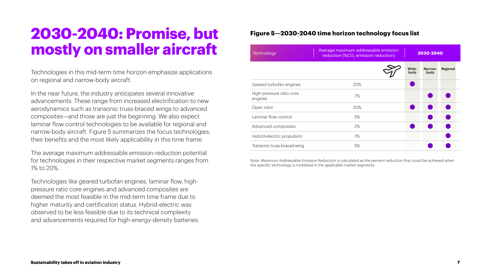### **2030-2040: Promise, but mostly on smaller aircraft**

Technologies in this mid-term time horizon emphasize applications on regional and narrow-body aircraft.

In the near future, the industry anticipates several innovative advancements. These range from increased electrification to new aerodynamics such as transonic truss-braced wings to advanced composites—and those are just the beginning. We also expect laminar flow control technologies to be available for regional and narrow-body aircraft. Figure 5 summarizes the focus technologies, their benefits and the most likely applicability in this time frame.

The average maximum addressable emission-reduction potential for technologies in their respective market segments ranges from 1% to 20%.

Technologies like geared turbofan engines, laminar flow, highpressure ratio core engines and advanced composites are deemed the most feasible in the mid-term time frame due to higher maturity and certification status. Hybrid-electric was observed to be less feasible due to its technical complexity and advancements required for high-energy-density batteries. Note: Maximum Addressable Emission Reduction is calculated as the percent reduction that could be achieved when the specific technology is mobilized in the applicable market segments.

| Geared turbofan engines             | 20%   |
|-------------------------------------|-------|
| High-pressure ratio core<br>engines | 7%    |
| Open rotor                          | 20%   |
| Laminar flow control                | 5%    |
| Advanced composites                 | 2%    |
| Hybrid-electric propulsion          | $1\%$ |
| Transonic truss-braced wing         | 5%    |

| verage maximum addressable emission<br>reduction (%CO <sub>2</sub> emission reduction) |               | 2030-2040       |           |  |
|----------------------------------------------------------------------------------------|---------------|-----------------|-----------|--|
|                                                                                        | Wide-<br>body | Narrow-<br>body | Regional  |  |
| 20%                                                                                    |               |                 |           |  |
| 7%                                                                                     |               |                 |           |  |
| 20%                                                                                    |               |                 |           |  |
| 5%                                                                                     |               |                 | $\bullet$ |  |
| 2%                                                                                     |               |                 |           |  |
| 1%                                                                                     |               |                 |           |  |
| 5%                                                                                     |               |                 |           |  |
|                                                                                        |               |                 |           |  |

#### **Figure 5—2030-2040 time horizon technology focus list**

Technology Average maximum addressable emission of the Average maximum addressable emission and the Magnetic S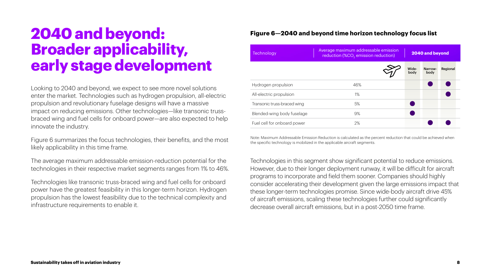### **2040 and beyond: Broader applicability, early stage development**

Looking to 2040 and beyond, we expect to see more novel solutions enter the market. Technologies such as hydrogen propulsion, all-electric propulsion and revolutionary fuselage designs will have a massive impact on reducing emissions. Other technologies—like transonic trussbraced wing and fuel cells for onboard power—are also expected to help innovate the industry.

Figure 6 summarizes the focus technologies, their benefits, and the most likely applicability in this time frame.

The average maximum addressable emission-reduction potential for the technologies in their respective market segments ranges from 1% to 46%.

Technologies like transonic truss-braced wing and fuel cells for onboard power have the greatest feasibility in this longer-term horizon. Hydrogen propulsion has the lowest feasibility due to the technical complexity and infrastructure requirements to enable it.

| Technology                  | Average maximum addressable emission<br>reduction (%CO <sub>2</sub> emission reduction) | 2040 and beyond |                 |          |  |
|-----------------------------|-----------------------------------------------------------------------------------------|-----------------|-----------------|----------|--|
|                             |                                                                                         | Wide-<br>body   | Narrow-<br>body | Regional |  |
| Hydrogen propulsion         | 46%                                                                                     |                 |                 |          |  |
| All-electric propulsion     | $1\%$                                                                                   |                 |                 |          |  |
| Transonic truss-braced wing | 5%                                                                                      |                 |                 |          |  |
| Blended-wing body fuselage  | 9%                                                                                      |                 |                 |          |  |
| Fuel cell for onboard power | 2%                                                                                      |                 |                 |          |  |
|                             |                                                                                         |                 |                 |          |  |

Technologies in this segment show significant potential to reduce emissions. However, due to their longer deployment runway, it will be difficult for aircraft programs to incorporate and field them sooner. Companies should highly consider accelerating their development given the large emissions impact that these longer-term technologies promise. Since wide-body aircraft drive 45% of aircraft emissions, scaling these technologies further could significantly decrease overall aircraft emissions, but in a post-2050 time frame.

#### **Figure 6—2040 and beyond time horizon technology focus list**

Note: Maximum Addressable Emission Reduction is calculated as the percent reduction that could be achieved when the specific technology is mobilized in the applicable aircraft segments.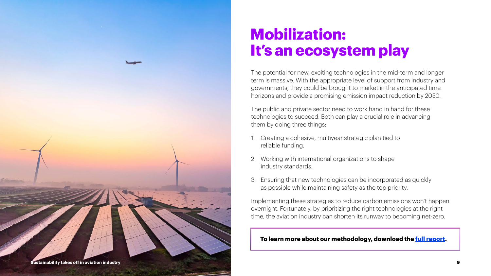**Sustainability takes off in aviation industry 9**



The potential for new, exciting technologies in the mid-term and longer term is massive. With the appropriate level of support from industry and governments, they could be brought to market in the anticipated time horizons and provide a promising emission impact reduction by 2050.

The public and private sector need to work hand in hand for these technologies to succeed. Both can play a crucial role in advancing them by doing three things:

- 1. Creating a cohesive, multiyear strategic plan tied to reliable funding.
- 2. Working with international organizations to shape industry standards.
- Ensuring that new technologies can be incorporated as quickly as possible while maintaining safety as the top priority.

Implementing these strategies to reduce carbon emissions won't happen overnight. Fortunately, by prioritizing the right technologies at the right time, the aviation industry can shorten its runway to becoming net-zero.

## **Mobilization: It's an ecosystem play**

#### **To learn more about our methodology, download the [full report](https://www.accenture.com/us-en/insights/aerospace-defense/aia-report ).**